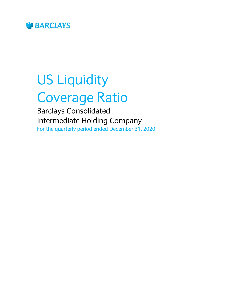

# US Liquidity Coverage Ratio

Barclays Consolidated Intermediate Holding Company For the quarterly period ended December 31, 2020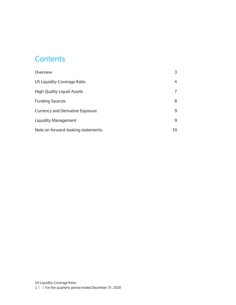#### **Contents**

| Overview                                |    |
|-----------------------------------------|----|
| US Liquidity Coverage Ratio             | 4  |
| <b>High Quality Liquid Assets</b>       |    |
| <b>Funding Sources</b>                  | 8  |
| <b>Currency and Derivative Exposure</b> | 9  |
| Liquidity Management                    | 9  |
| Note on forward-looking statements:     | 10 |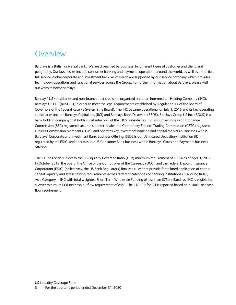#### <span id="page-2-0"></span>Overview

Barclays is a British universal bank. We are diversified by business, by different types of customer and client, and geography. Our businesses include consumer banking and payments operations around the world, as well as a top-tier, full service, global corporate and investment bank, all of which are supported by our service company which provides technology, operations and functional services across the Group. For further information about Barclays, please visit our website home.barclays.

Barclays' US subsidiaries and non-branch businesses are organized under an Intermediate Holding Company (IHC), Barclays US LLC (BUSLLC), in order to meet the legal requirements established by Regulation YY of the Board of Governors of the Federal Reserve System (the Board). The IHC became operational on July 1, 2016 and its key operating subsidiaries include Barclays Capital Inc. (BCI) and Barclays Bank Delaware (BBDE). Barclays Group US Inc. (BGUS) is a bank holding company that holds substantially all of the IHC's subsidiaries. BCI is our Securities and Exchange Commission (SEC) registered securities broker-dealer and Commodity Futures Trading Commission (CFTC) registered Futures Commission Merchant (FCM), and operates key investment banking and capital markets businesses within Barclays' Corporate and Investment Bank Business Offering. BBDE is our US Insured Depository Institution (IDI) regulated by the FDIC, and operates our US Consumer Bank business within Barclays' Cards and Payments business offering.

The IHC has been subject to the US Liquidity Coverage Ratio (LCR) minimum requirement of 100% as of April 1, 2017. In October 2019, the Board, the Office of the Comptroller of the Currency (OCC), and the Federal Deposit Insurance Corporation (FDIC) (collectively, the US Bank Regulators) finalized rules that provide for tailored application of certain capital, liquidity and stress testing requirements across different categories of banking institutions ("Tailoring Rule"). As a Category III IHC with total weighted Short Term Wholesale Funding of less than \$75bn, Barclays' IHC is eligible for a lower minimum LCR net cash outflow requirement of 85%. The IHC LCR for Q4 is reported based on a 100% net cash flow requirement.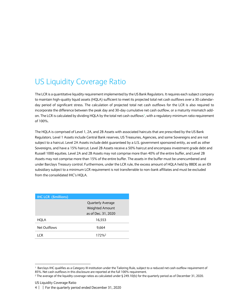## <span id="page-3-0"></span>US Liquidity Coverage Ratio

The LCR is a quantitative liquidity requirement implemented by the US Bank Regulators. It requires each subject company to maintain high-quality liquid assets (HQLA) sufficient to meet its projected total net cash outflows over a 30 calendarday period of significant stress. The calculation of projected total net cash outflows for the LCR is also required to incorporate the difference between the peak day and 30-day cumulative net cash outflow, or a maturity mismatch addon. The LCR is calculated by dividing HQLA by the total net cash outflows<sup>1</sup>, with a regulatory minimum ratio requirement of 100%.

The HQLA is comprised of Level 1, 2A, and 2B Assets with associated haircuts that are prescribed by the US Bank Regulators. Level 1 Assets include Central Bank reserves, US Treasuries, Agencies, and some Sovereigns and are not subject to a haircut. Level 2A Assets include debt guaranteed by a U.S. government sponsored entity, as well as other Sovereigns, and have a 15% haircut. Level 2B Assets receive a 50% haircut and encompass investment grade debt and Russell 1000 equities. Level 2A and 2B Assets may not comprise more than 40% of the entire buffer, and Level 2B Assets may not comprise more than 15% of the entire buffer. The assets in the buffer must be unencumbered and under Barclays Treasury control. Furthermore, under the LCR rule, the excess amount of HQLA held by BBDE as an IDI subsidiary subject to a minimum LCR requirement is not transferrable to non-bank affiliates and must be excluded from the consolidated IHC's HQLA.

| <b>IHC LCR</b> (\$millions) |                          |
|-----------------------------|--------------------------|
|                             | <b>Quarterly Average</b> |
|                             | <b>Weighted Amount</b>   |
|                             | as of Dec. 31, 2020      |
| HQLA                        | 16,553                   |
| Net Outflows                | 9.664                    |
| I CR                        | 172%                     |

1

<sup>1</sup> Barclays IHC qualifies as a Category III institution under the Tailoring Rule, subject to a reduced net cash outflow requirement of 85%. Net cash outflows in this disclosure are reported at the full 100% requirement.

<sup>&</sup>lt;sup>2</sup> The average of the liquidity coverage ratios as calculated under § 249.10(b) for the quarterly period as of December 31, 2020.

US Liquidity Coverage Ratio

<sup>4</sup> | | For the quarterly period ended December 31, 2020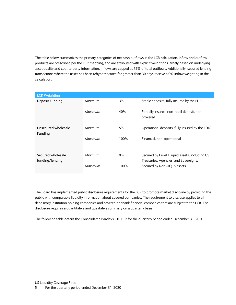The table below summarizes the primary categories of net cash outflows in the LCR calculation. Inflow and outflow products are prescribed per the LCR mapping, and are attributed with explicit weightings largely based on underlying asset quality and counterparty information. Inflows are capped at 75% of total outflows. Additionally, secured lending transactions where the asset has been rehypothecated for greater than 30 days receive a 0% inflow weighting in the calculation.

| <b>LCR Weighting</b>   |         |       |                                                         |
|------------------------|---------|-------|---------------------------------------------------------|
| <b>Deposit Funding</b> | Minimum | 3%    | Stable deposits, fully insured by the FDIC              |
|                        | Maximum | 40%   | Partially insured, non-retail deposit, non-<br>brokered |
| Unsecured wholesale    | Minimum | 5%    | Operational deposits, fully insured by the FDIC         |
| <b>Funding</b>         |         |       |                                                         |
|                        | Maximum | 100%  | Financial, non-operational                              |
| Secured wholesale      | Minimum | $0\%$ | Secured by Level 1 liquid assets, including US          |
| funding/lending        |         |       | Treasuries, Agencies, and Sovereigns.                   |
|                        | Maximum | 100%  | Secured by Non-HQLA assets                              |

The Board has implemented public disclosure requirements for the LCR to promote market discipline by providing the public with comparable liquidity information about covered companies. The requirement to disclose applies to all depository institution holding companies and covered nonbank financial companies that are subject to the LCR. The disclosure requires a quantitative and qualitative summary on a quarterly basis.

The following table details the Consolidated Barclays IHC LCR for the quarterly period ended December 31, 2020.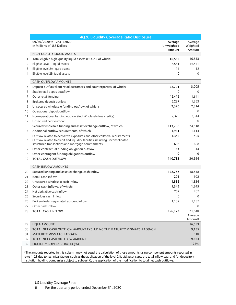|    | 4Q20 Liquidity Coverage Ratio Disclosure                                    |                                 |                                |
|----|-----------------------------------------------------------------------------|---------------------------------|--------------------------------|
|    | 09/30/2020 to 12/31/2020<br>In Millions of U.S Dollars                      | Average<br>Unweighted<br>Amount | Average<br>Weighted<br>Amount  |
|    | HIGH-QUALITY LIQUID ASSETS                                                  |                                 |                                |
| 1  | Total eligible high-quality liquid assets (HQLA), of which:                 | 16,555                          | 16,553                         |
| 2  | Eligible Level 1 liquid assets                                              | 16,541                          | 16,541                         |
| 3  | Eligible level 2A liquid assets                                             | 14                              | $12 \overline{ }$              |
| 4  | Eligible level 2B liquid assets                                             | 0                               | $\Omega$                       |
|    | <b>CASH OUTFLOW AMOUNTS</b>                                                 |                                 |                                |
| 5  | Deposit outflow from retail customers and counterparties, of which:         | 22,701                          | 3,005                          |
| 6  | Stable retail deposit outflow                                               | $\mathbf 0$                     | $\Omega$                       |
| 7  | Other retail funding                                                        | 16,415                          | 1,641                          |
| 8  | Brokered deposit outflow                                                    | 6,287                           | 1,363                          |
| 9  | Unsecured wholesale funding outflow, of which:                              | 2,320                           | 2,314                          |
| 10 | Operational deposit outflow                                                 | 0                               | $\Omega$                       |
| 11 | Non-operational funding outflow (incl Wholesale free credits)               | 2,320                           | 2,314                          |
| 12 | Unsecured debt outflow                                                      | 0                               | $\mathbf{0}$                   |
| 13 | Secured wholesale funding and asset exchange outflow, of which:             | 113,758                         | 24,518                         |
| 14 | Additional outflow requirements, of which:                                  | 1,961                           | 1,114                          |
| 15 | Outflow related to derivative exposures and other collateral requirements   | 1,352                           | 505                            |
| 16 | Outflow related to credit and liquidity facilities including unconsolidated |                                 |                                |
|    | structured transactions and mortgage commitments                            | 608                             | 608                            |
| 17 | Other contractual funding obligation outflow                                | 43                              | 43                             |
| 18 | Other contingent funding obligations outflow                                | 0                               | $\mathbf{0}$                   |
| 19 | <b>TOTAL CASH OUTFLOW</b>                                                   | 140,783                         | 30,994                         |
|    | <b>CASH INFLOW AMOUNTS</b>                                                  |                                 |                                |
| 20 | Secured lending and asset exchange cash inflow                              | 122,788                         | 18,558                         |
| 21 | Retail cash inflow                                                          | 205                             | 102                            |
| 22 | Unsecured wholesale cash inflow                                             | 1,836                           | 1,834                          |
| 23 | Other cash inflows, of which:                                               | 1,345                           | 1,345                          |
| 24 | Net derivative cash inflow                                                  | 207                             | 207                            |
| 25 | Securities cash inflow                                                      | 0                               | $\Omega$                       |
| 26 | Broker-dealer segregated account inflow                                     | 1,137                           | 1,137                          |
| 27 | Other cash inflow                                                           | $\Omega$                        | $\Omega$                       |
| 28 | TOTAL CASH INFLOW                                                           | 126,173                         | 21,840                         |
|    |                                                                             |                                 | Average<br>Amount <sup>1</sup> |
| 29 | <b>HQLA AMOUNT</b>                                                          |                                 | 16,553                         |
| 30 | TOTAL NET CASH OUTFLOW AMOUNT EXCLUDING THE MATURITY MISMATCH ADD-ON        |                                 | 9,155                          |
| 31 | <b>MATURITY MISMATCH ADD-ON</b>                                             |                                 | 510                            |
| 32 | TOTAL NET CASH OUTFLOW AMOUNT                                               |                                 | 9,664                          |
| 32 | LIQUIDITY COVERAGE RATIO (%)                                                |                                 | 172%                           |

<sup>1</sup> The amounts reported in this column may not equal the calculation of those amounts using component amounts reported in rows 1-28 due to technical factors such as the application of the level 2 liquid asset caps, the total inflow cap, and for depository institution holding companies subject to subpart G, the application of the modification to total net cash outflows.

| | For the quarterly period ended December 31, 2020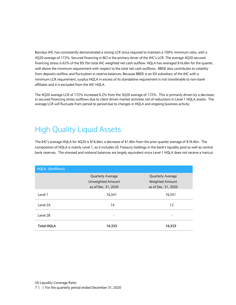Barclays IHC has consistently demonstrated a strong LCR since required to maintain a 100% minimum ratio, with a 4Q20 average of 172%. Secured financing in BCI is the primary driver of the IHC's LCR. The average 4Q20 secured financing stress is 62% of the \$9.7bn total IHC weighted net cash outflow. HQLA has averaged \$16.6bn for the quarter, well above the minimum requirement with respect to the total net cash outflows. BBDE also contributes to volatility from deposits outflow and fluctuation in reserve balances. Because BBDE is an IDI subsidiary of the IHC with a minimum LCR requirement, surplus HQLA in excess of its standalone requirement is not transferable to non-bank affiliates and it is excluded from the IHC HQLA.

The 4Q20 average LCR of 172% increased 0.2% from the 3Q20 average of 172%. This is primarily driven by a decrease in secured financing stress outflows due to client driven market activities net of reductions in Level 1 HQLA assets. The average LCR will fluctuate from period to period due to changes in HQLA and ongoing business activity.

## <span id="page-6-0"></span>High Quality Liquid Assets

The IHC's average HQLA for 4Q20 is \$16.6bn, a decrease of \$1.8bn from the prior quarter average of \$18.4bn. The composition of HQLA is mainly Level 1, as it includes US Treasury holdings in the bank's liquidity pool as well as central bank reserves. The stressed and notional balances are largely equivalent since Level 1 HQLA does not receive a haircut.

| HQLA (\$millions) |                          |                          |
|-------------------|--------------------------|--------------------------|
|                   | <b>Quarterly Average</b> | <b>Quarterly Average</b> |
|                   | Unweighted Amount        | Weighted Amount          |
|                   | as of Dec. 31, 2020      | as of Dec. 31, 2020      |
| Level 1           | 16,541                   | 16,541                   |
| Level 2A          | 14                       | 12                       |
| Level 2B          |                          |                          |
| <b>Total HQLA</b> | 16,555                   | 16,553                   |

7 | | For the quarterly period ended December 31, 2020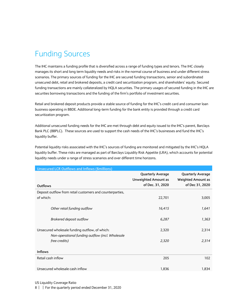# <span id="page-7-0"></span>Funding Sources

The IHC maintains a funding profile that is diversified across a range of funding types and tenors. The IHC closely manages its short and long term liquidity needs and risks in the normal course of business and under different stress scenarios. The primary sources of funding for the IHC are secured funding transactions, senior and subordinated unsecured debt, retail and brokered deposits, a credit card securitization program, and shareholders' equity. Secured funding transactions are mainly collateralized by HQLA securities. The primary usages of secured funding in the IHC are securities borrowing transactions and the funding of the firm's portfolio of investment securities.

Retail and brokered deposit products provide a stable source of funding for the IHC's credit card and consumer loan business operating in BBDE. Additional long-term funding for the bank entity is provided through a credit card securitization program.

Additional unsecured funding needs for the IHC are met through debt and equity issued to the IHC's parent, Barclays Bank PLC (BBPLC). These sources are used to support the cash needs of the IHC's businesses and fund the IHC's liquidity buffer.

Potential liquidity risks associated with the IHC's sources of funding are monitored and mitigated by the IHC's HQLA liquidity buffer. These risks are managed as part of Barclays Liquidity Risk Appetite (LRA), which accounts for potential liquidity needs under a range of stress scenarios and over different time horizons.

| <b>Unsecured LCR Outflows and Inflows (\$millions)</b>                                             |                                                                             |                                                                          |
|----------------------------------------------------------------------------------------------------|-----------------------------------------------------------------------------|--------------------------------------------------------------------------|
| Outflows                                                                                           | <b>Quarterly Average</b><br><b>Unweighted Amount as</b><br>of Dec. 31, 2020 | <b>Quarterly Average</b><br><b>Weighted Amount as</b><br>of Dec 31, 2020 |
| Deposit outflow from retail customers and counterparties,                                          |                                                                             |                                                                          |
| of which:                                                                                          | 22,701                                                                      | 3,005                                                                    |
| Other retail funding outflow                                                                       | 16,415                                                                      | 1,641                                                                    |
| Brokered deposit outflow                                                                           | 6,287                                                                       | 1,363                                                                    |
| Unsecured wholesale funding outflow, of which:<br>Non-operational funding outflow (incl. Wholesale | 2,320                                                                       | 2,314                                                                    |
| free credits)                                                                                      | 2,320                                                                       | 2,314                                                                    |
| <b>Inflows</b>                                                                                     |                                                                             |                                                                          |
| Retail cash inflow                                                                                 | 205                                                                         | 102                                                                      |
| Unsecured wholesale cash inflow                                                                    | 1,836                                                                       | 1,834                                                                    |

US Liquidity Coverage Ratio

8 | | For the quarterly period ended December 31, 2020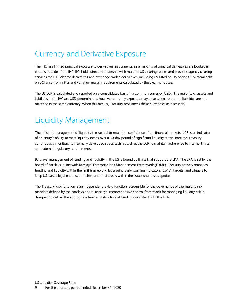#### <span id="page-8-0"></span>Currency and Derivative Exposure

The IHC has limited principal exposure to derivatives instruments, as a majority of principal derivatives are booked in entities outside of the IHC. BCI holds direct membership with multiple US clearinghouses and provides agency clearing services for OTC cleared derivatives and exchange traded derivatives, including US listed equity options. Collateral calls on BCI arise from initial and variation margin requirements calculated by the clearinghouses.

The US LCR is calculated and reported on a consolidated basis in a common currency, USD. The majority of assets and liabilities in the IHC are USD denominated, however currency exposure may arise when assets and liabilities are not matched in the same currency. When this occurs, Treasury rebalances these currencies as necessary.

#### <span id="page-8-1"></span>Liquidity Management

The efficient management of liquidity is essential to retain the confidence of the financial markets. LCR is an indicator of an entity's ability to meet liquidity needs over a 30-day period of significant liquidity stress. Barclays Treasury continuously monitors its internally developed stress tests as well as the LCR to maintain adherence to internal limits and external regulatory requirements.

Barclays' management of funding and liquidity in the US is bound by limits that support the LRA. The LRA is set by the board of Barclays in line with Barclays' Enterprise Risk Management Framework (ERMF). Treasury actively manages funding and liquidity within the limit framework, leveraging early warning indicators (EWIs), targets, and triggers to keep US-based legal entities, branches, and businesses within the established risk appetite.

The Treasury Risk function is an independent review function responsible for the governance of the liquidity risk mandate defined by the Barclays board. Barclays' comprehensive control framework for managing liquidity risk is designed to deliver the appropriate term and structure of funding consistent with the LRA.